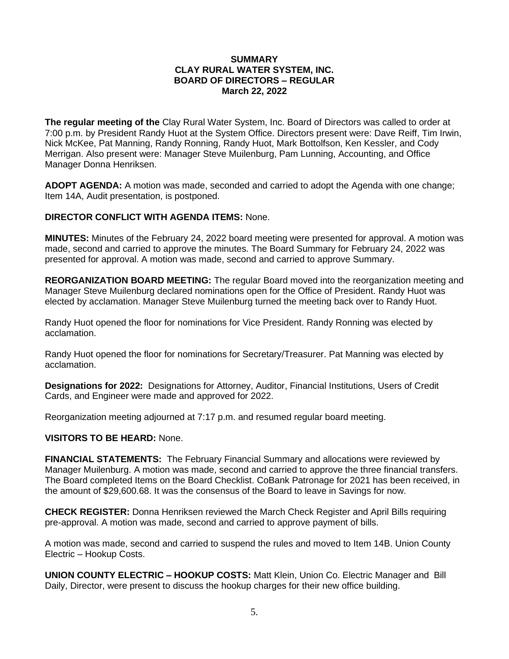## **SUMMARY CLAY RURAL WATER SYSTEM, INC. BOARD OF DIRECTORS – REGULAR March 22, 2022**

**The regular meeting of the** Clay Rural Water System, Inc. Board of Directors was called to order at 7:00 p.m. by President Randy Huot at the System Office. Directors present were: Dave Reiff, Tim Irwin, Nick McKee, Pat Manning, Randy Ronning, Randy Huot, Mark Bottolfson, Ken Kessler, and Cody Merrigan. Also present were: Manager Steve Muilenburg, Pam Lunning, Accounting, and Office Manager Donna Henriksen.

**ADOPT AGENDA:** A motion was made, seconded and carried to adopt the Agenda with one change; Item 14A, Audit presentation, is postponed.

## **DIRECTOR CONFLICT WITH AGENDA ITEMS:** None.

**MINUTES:** Minutes of the February 24, 2022 board meeting were presented for approval. A motion was made, second and carried to approve the minutes. The Board Summary for February 24, 2022 was presented for approval. A motion was made, second and carried to approve Summary.

**REORGANIZATION BOARD MEETING:** The regular Board moved into the reorganization meeting and Manager Steve Muilenburg declared nominations open for the Office of President. Randy Huot was elected by acclamation. Manager Steve Muilenburg turned the meeting back over to Randy Huot.

Randy Huot opened the floor for nominations for Vice President. Randy Ronning was elected by acclamation.

Randy Huot opened the floor for nominations for Secretary/Treasurer. Pat Manning was elected by acclamation.

**Designations for 2022:** Designations for Attorney, Auditor, Financial Institutions, Users of Credit Cards, and Engineer were made and approved for 2022.

Reorganization meeting adjourned at 7:17 p.m. and resumed regular board meeting.

#### **VISITORS TO BE HEARD:** None.

**FINANCIAL STATEMENTS:** The February Financial Summary and allocations were reviewed by Manager Muilenburg. A motion was made, second and carried to approve the three financial transfers. The Board completed Items on the Board Checklist. CoBank Patronage for 2021 has been received, in the amount of \$29,600.68. It was the consensus of the Board to leave in Savings for now.

**CHECK REGISTER:** Donna Henriksen reviewed the March Check Register and April Bills requiring pre-approval. A motion was made, second and carried to approve payment of bills.

A motion was made, second and carried to suspend the rules and moved to Item 14B. Union County Electric – Hookup Costs.

**UNION COUNTY ELECTRIC – HOOKUP COSTS:** Matt Klein, Union Co. Electric Manager and Bill Daily, Director, were present to discuss the hookup charges for their new office building.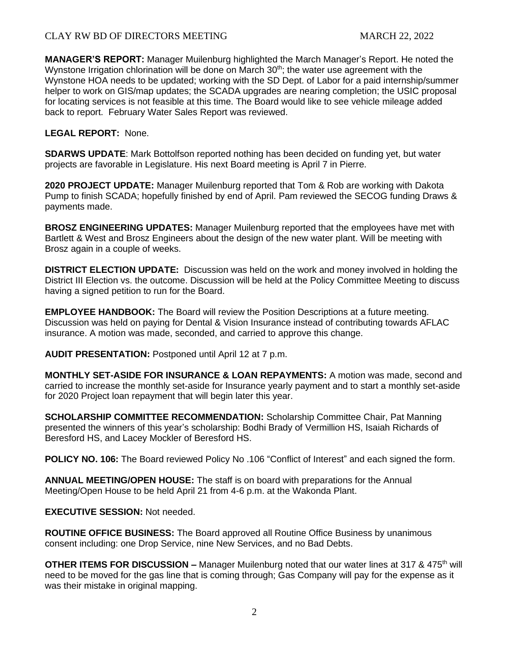# CLAY RW BD OF DIRECTORS MEETING MARCH 22, 2022

**MANAGER'S REPORT:** Manager Muilenburg highlighted the March Manager's Report. He noted the Wynstone Irrigation chlorination will be done on March  $30<sup>th</sup>$ ; the water use agreement with the Wynstone HOA needs to be updated; working with the SD Dept. of Labor for a paid internship/summer helper to work on GIS/map updates; the SCADA upgrades are nearing completion; the USIC proposal for locating services is not feasible at this time. The Board would like to see vehicle mileage added back to report. February Water Sales Report was reviewed.

## **LEGAL REPORT:** None.

**SDARWS UPDATE**: Mark Bottolfson reported nothing has been decided on funding yet, but water projects are favorable in Legislature. His next Board meeting is April 7 in Pierre.

**2020 PROJECT UPDATE:** Manager Muilenburg reported that Tom & Rob are working with Dakota Pump to finish SCADA; hopefully finished by end of April. Pam reviewed the SECOG funding Draws & payments made.

**BROSZ ENGINEERING UPDATES:** Manager Muilenburg reported that the employees have met with Bartlett & West and Brosz Engineers about the design of the new water plant. Will be meeting with Brosz again in a couple of weeks.

**DISTRICT ELECTION UPDATE:** Discussion was held on the work and money involved in holding the District III Election vs. the outcome. Discussion will be held at the Policy Committee Meeting to discuss having a signed petition to run for the Board.

**EMPLOYEE HANDBOOK:** The Board will review the Position Descriptions at a future meeting. Discussion was held on paying for Dental & Vision Insurance instead of contributing towards AFLAC insurance. A motion was made, seconded, and carried to approve this change.

**AUDIT PRESENTATION:** Postponed until April 12 at 7 p.m.

**MONTHLY SET-ASIDE FOR INSURANCE & LOAN REPAYMENTS:** A motion was made, second and carried to increase the monthly set-aside for Insurance yearly payment and to start a monthly set-aside for 2020 Project loan repayment that will begin later this year.

**SCHOLARSHIP COMMITTEE RECOMMENDATION:** Scholarship Committee Chair, Pat Manning presented the winners of this year's scholarship: Bodhi Brady of Vermillion HS, Isaiah Richards of Beresford HS, and Lacey Mockler of Beresford HS.

**POLICY NO. 106:** The Board reviewed Policy No .106 "Conflict of Interest" and each signed the form.

**ANNUAL MEETING/OPEN HOUSE:** The staff is on board with preparations for the Annual Meeting/Open House to be held April 21 from 4-6 p.m. at the Wakonda Plant.

**EXECUTIVE SESSION:** Not needed.

**ROUTINE OFFICE BUSINESS:** The Board approved all Routine Office Business by unanimous consent including: one Drop Service, nine New Services, and no Bad Debts.

**OTHER ITEMS FOR DISCUSSION –** Manager Muilenburg noted that our water lines at 317 & 475<sup>th</sup> will need to be moved for the gas line that is coming through; Gas Company will pay for the expense as it was their mistake in original mapping.